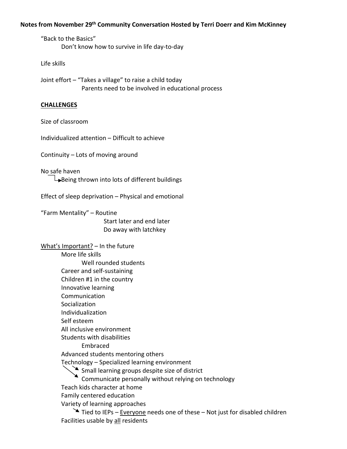## **Notes from November 29th Community Conversation Hosted by Terri Doerr and Kim McKinney**

"Back to the Basics" Don't know how to survive in life day‐to‐day

Life skills

Joint effort – "Takes a village" to raise a child today Parents need to be involved in educational process

## **CHALLENGES**

Size of classroom

Individualized attention – Difficult to achieve

Continuity – Lots of moving around

No safe haven  $\rightarrow$ Being thrown into lots of different buildings

Effect of sleep deprivation – Physical and emotional

"Farm Mentality" – Routine Start later and end later Do away with latchkey

What's Important? – In the future More life skills Well rounded students Career and self‐sustaining Children #1 in the country Innovative learning Communication Socialization Individualization Self esteem All inclusive environment Students with disabilities Embraced Advanced students mentoring others Technology – Specialized learning environment  $\triangle$  Small learning groups despite size of district Communicate personally without relying on technology Teach kids character at home Family centered education Variety of learning approaches  $\rightarrow$  Tied to IEPs – Everyone needs one of these – Not just for disabled children Facilities usable by all residents